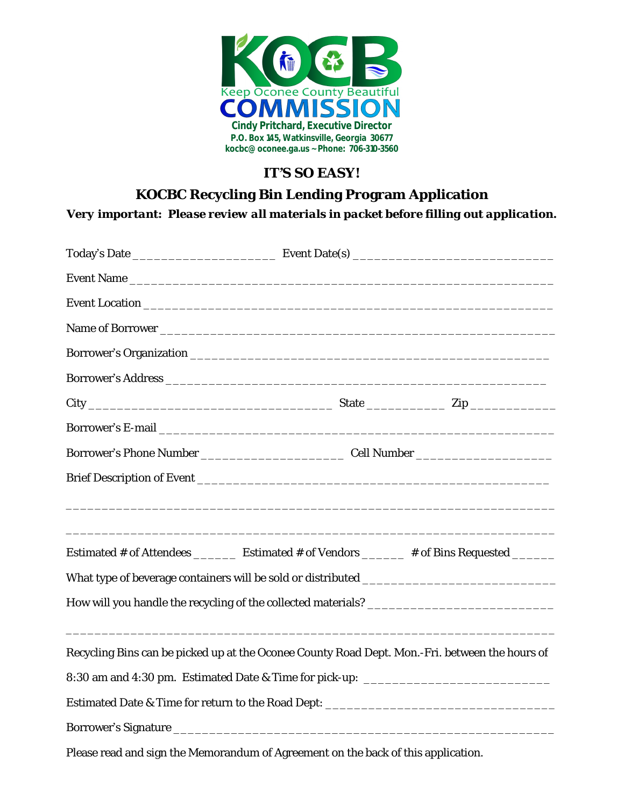

## *IT'S SO EASY!*

### **KOCBC Recycling Bin Lending Program Application**

*Very important: Please review all materials in packet before filling out application.*

| Estimated # of Attendees __________ Estimated # of Vendors _______ # of Bins Requested _______ |  |  |  |
|------------------------------------------------------------------------------------------------|--|--|--|
|                                                                                                |  |  |  |
|                                                                                                |  |  |  |
|                                                                                                |  |  |  |
| Recycling Bins can be picked up at the Oconee County Road Dept. Mon.-Fri. between the hours of |  |  |  |
| 8:30 am and 4:30 pm. Estimated Date & Time for pick-up: _________________________              |  |  |  |
| Estimated Date & Time for return to the Road Dept: ______________________________              |  |  |  |
|                                                                                                |  |  |  |
|                                                                                                |  |  |  |

Please read and sign the Memorandum of Agreement on the back of this application.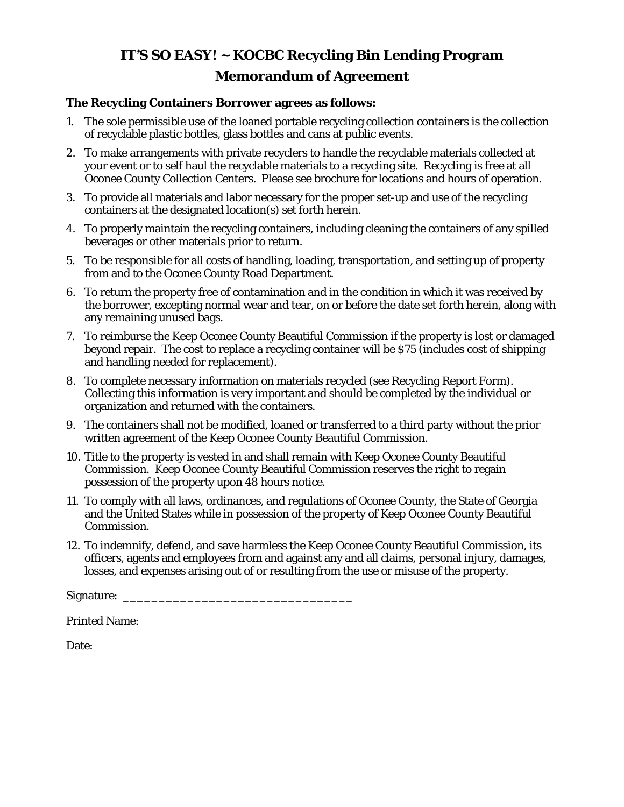## *IT'S SO EASY!* **~ KOCBC Recycling Bin Lending Program Memorandum of Agreement**

#### **The Recycling Containers Borrower agrees as follows:**

- 1. The sole permissible use of the loaned portable recycling collection containers is the collection of recyclable plastic bottles, glass bottles and cans at public events.
- 2. To make arrangements with private recyclers to handle the recyclable materials collected at your event or to self haul the recyclable materials to a recycling site. Recycling is free at all Oconee County Collection Centers. Please see brochure for locations and hours of operation.
- 3. To provide all materials and labor necessary for the proper set-up and use of the recycling containers at the designated location(s) set forth herein.
- 4. To properly maintain the recycling containers, including cleaning the containers of any spilled beverages or other materials prior to return.
- 5. To be responsible for all costs of handling, loading, transportation, and setting up of property from and to the Oconee County Road Department.
- *6.* To return the property free of contamination and in the condition in which it was received by the borrower, excepting normal wear and tear, on or before the date set forth herein, along with any remaining unused bags.
- *7.* To reimburse the Keep Oconee County Beautiful Commission if the property is lost or damaged beyond repair. The cost to replace a recycling container will be \$75 (includes cost of shipping and handling needed for replacement).
- 8. To complete necessary information on materials recycled (see Recycling Report Form). Collecting this information is very important and should be completed by the individual or organization and returned with the containers.
- 9. The containers shall not be modified, loaned or transferred to a third party without the prior written agreement of the Keep Oconee County Beautiful Commission.
- 10. Title to the property is vested in and shall remain with Keep Oconee County Beautiful Commission. Keep Oconee County Beautiful Commission reserves the right to regain possession of the property upon 48 hours notice.
- 11. To comply with all laws, ordinances, and regulations of Oconee County, the State of Georgia and the United States while in possession of the property of Keep Oconee County Beautiful Commission.
- 12. To indemnify, defend, and save harmless the Keep Oconee County Beautiful Commission, its officers, agents and employees from and against any and all claims, personal injury, damages, losses, and expenses arising out of or resulting from the use or misuse of the property.

Signature:

Printed Name: \_\_\_\_\_\_\_\_\_\_\_\_\_\_\_\_\_\_\_\_\_\_\_\_\_\_\_\_\_

Date: \_\_\_\_\_\_\_\_\_\_\_\_\_\_\_\_\_\_\_\_\_\_\_\_\_\_\_\_\_\_\_\_\_\_\_